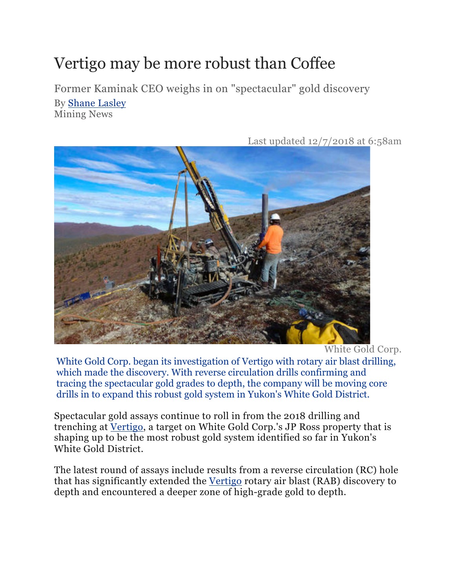## Vertigo may be more robust than Coffee

Former Kaminak CEO weighs in on "spectacular" gold discovery

By Shane Lasley Mining News



Last updated 12/7/2018 at 6:58am

White Gold Corp.

White Gold Corp. began its investigation of Vertigo with rotary air blast drilling, which made the discovery. With reverse circulation drills confirming and tracing the spectacular gold grades to depth, the company will be moving core drills in to expand this robust gold system in Yukon's White Gold District.

Spectacular gold assays continue to roll in from the 2018 drilling and trenching at Vertigo, a target on White Gold Corp.'s JP Ross property that is shaping up to be the most robust gold system identified so far in Yukon's White Gold District.

The latest round of assays include results from a reverse circulation (RC) hole that has significantly extended the Vertigo rotary air blast (RAB) discovery to depth and encountered a deeper zone of high-grade gold to depth.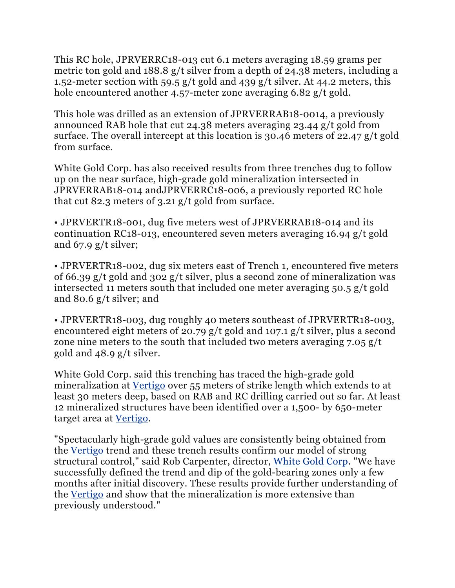This RC hole, JPRVERRC18-013 cut 6.1 meters averaging 18.59 grams per metric ton gold and 188.8 g/t silver from a depth of 24.38 meters, including a 1.52-meter section with 59.5 g/t gold and 439 g/t silver. At 44.2 meters, this hole encountered another 4.57-meter zone averaging 6.82 g/t gold.

This hole was drilled as an extension of JPRVERRAB18-0014, a previously announced RAB hole that cut 24.38 meters averaging 23.44 g/t gold from surface. The overall intercept at this location is 30.46 meters of 22.47 g/t gold from surface.

White Gold Corp. has also received results from three trenches dug to follow up on the near surface, high-grade gold mineralization intersected in JPRVERRAB18-014 andJPRVERRC18-006, a previously reported RC hole that cut 82.3 meters of 3.21 g/t gold from surface.

• JPRVERTR18-001, dug five meters west of JPRVERRAB18-014 and its continuation RC18-013, encountered seven meters averaging 16.94 g/t gold and 67.9 g/t silver;

• JPRVERTR18-002, dug six meters east of Trench 1, encountered five meters of 66.39 g/t gold and 302 g/t silver, plus a second zone of mineralization was intersected 11 meters south that included one meter averaging 50.5 g/t gold and 80.6 g/t silver; and

• JPRVERTR18-003, dug roughly 40 meters southeast of JPRVERTR18-003, encountered eight meters of 20.79 g/t gold and 107.1 g/t silver, plus a second zone nine meters to the south that included two meters averaging 7.05 g/t gold and 48.9 g/t silver.

White Gold Corp. said this trenching has traced the high-grade gold mineralization at Vertigo over 55 meters of strike length which extends to at least 30 meters deep, based on RAB and RC drilling carried out so far. At least 12 mineralized structures have been identified over a 1,500- by 650-meter target area at Vertigo.

"Spectacularly high-grade gold values are consistently being obtained from the Vertigo trend and these trench results confirm our model of strong structural control," said Rob Carpenter, director, White Gold Corp. "We have successfully defined the trend and dip of the gold-bearing zones only a few months after initial discovery. These results provide further understanding of the Vertigo and show that the mineralization is more extensive than previously understood."